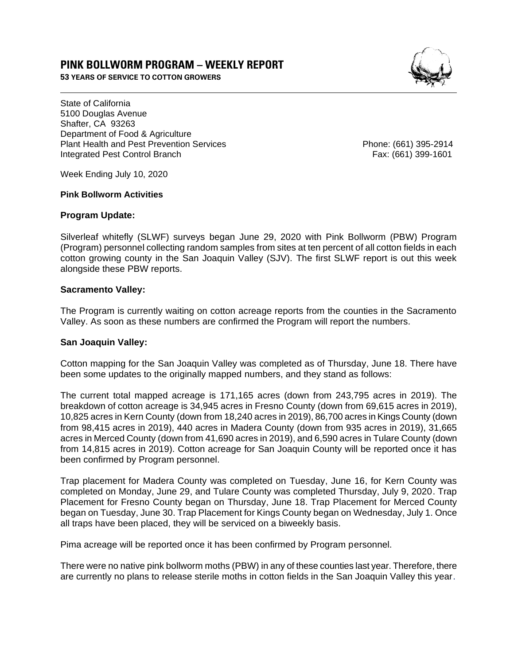# **PINK BOLLWORM PROGRAM – WEEKLY REPORT**

**53 YEARS OF SERVICE TO COTTON GROWERS** 



State of California 5100 Douglas Avenue Shafter, CA 93263 Department of Food & Agriculture Plant Health and Pest Prevention Services **Phone: (661)** 395-2914 Integrated Pest Control Branch Fax: (661) 399-1601

Week Ending July 10, 2020

#### **Pink Bollworm Activities**

## **Program Update:**

Silverleaf whitefly (SLWF) surveys began June 29, 2020 with Pink Bollworm (PBW) Program (Program) personnel collecting random samples from sites at ten percent of all cotton fields in each cotton growing county in the San Joaquin Valley (SJV). The first SLWF report is out this week alongside these PBW reports.

## **Sacramento Valley:**

The Program is currently waiting on cotton acreage reports from the counties in the Sacramento Valley. As soon as these numbers are confirmed the Program will report the numbers.

### **San Joaquin Valley:**

Cotton mapping for the San Joaquin Valley was completed as of Thursday, June 18. There have been some updates to the originally mapped numbers, and they stand as follows:

The current total mapped acreage is 171,165 acres (down from 243,795 acres in 2019). The breakdown of cotton acreage is 34,945 acres in Fresno County (down from 69,615 acres in 2019), 10,825 acres in Kern County (down from 18,240 acres in 2019), 86,700 acres in Kings County (down from 98,415 acres in 2019), 440 acres in Madera County (down from 935 acres in 2019), 31,665 acres in Merced County (down from 41,690 acres in 2019), and 6,590 acres in Tulare County (down from 14,815 acres in 2019). Cotton acreage for San Joaquin County will be reported once it has been confirmed by Program personnel.

Trap placement for Madera County was completed on Tuesday, June 16, for Kern County was completed on Monday, June 29, and Tulare County was completed Thursday, July 9, 2020. Trap Placement for Fresno County began on Thursday, June 18. Trap Placement for Merced County began on Tuesday, June 30. Trap Placement for Kings County began on Wednesday, July 1. Once all traps have been placed, they will be serviced on a biweekly basis.

Pima acreage will be reported once it has been confirmed by Program personnel.

There were no native pink bollworm moths (PBW) in any of these counties last year. Therefore, there are currently no plans to release sterile moths in cotton fields in the San Joaquin Valley this year.